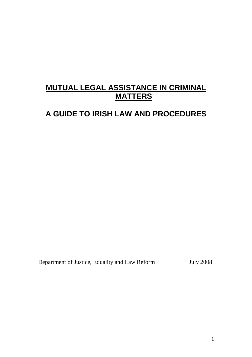# **MUTUAL LEGAL ASSISTANCE IN CRIMINAL MATTERS**

# **A GUIDE TO IRISH LAW AND PROCEDURES**

Department of Justice, Equality and Law Reform July 2008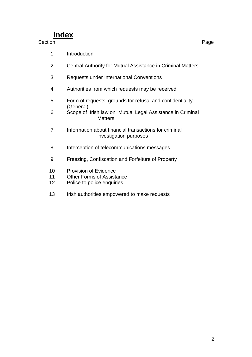# **Index**

# Section **Page**

- Introduction
- Central Authority for Mutual Assistance in Criminal Matters
- Requests under International Conventions
- Authorities from which requests may be received
- Form of requests, grounds for refusal and confidentiality (General)
- Scope of Irish law on Mutual Legal Assistance in Criminal **Matters**
- Information about financial transactions for criminal investigation purposes
- Interception of telecommunications messages
- Freezing, Confiscation and Forfeiture of Property
- Provision of Evidence
- Other Forms of Assistance
- Police to police enquiries
- 13 Irish authorities empowered to make requests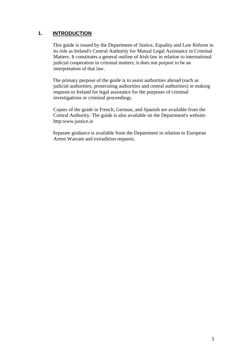# **1. INTRODUCTION**

This guide is issued by the Department of Justice, Equality and Law Reform in its role as Ireland's Central Authority for Mutual Legal Assistance in Criminal Matters. It constitutes a general outline of Irish law in relation to international judicial cooperation in criminal matters; it does not purport to be an interpretation of that law.

 The primary purpose of the guide is to assist authorities abroad (such as judicial authorities, prosecuting authorities and central authorities) in making requests to Ireland for legal assistance for the purposes of criminal investigations or criminal proceedings.

Copies of the guide in French, German, and Spanish are available from the Central Authority. The guide is also available on the Department's website: http:www.justice.ie

 Separate guidance is available from the Department in relation to European Arrest Warrant and extradition requests.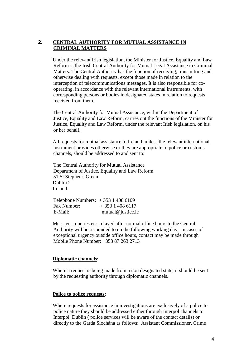# **2. CENTRAL AUTHORITY FOR MUTUAL ASSISTANCE IN CRIMINAL MATTERS**

Under the relevant Irish legislation, the Minister for Justice, Equality and Law Reform is the Irish Central Authority for Mutual Legal Assistance in Criminal Matters. The Central Authority has the function of receiving, transmitting and otherwise dealing with requests, except those made in relation to the interception of telecommunications messages. It is also responsible for cooperating, in accordance with the relevant international instruments, with corresponding persons or bodies in designated states in relation to requests received from them.

 The Central Authority for Mutual Assistance, within the Department of Justice, Equality and Law Reform, carries out the functions of the Minister for Justice, Equality and Law Reform, under the relevant Irish legislation, on his or her behalf.

 All requests for mutual assistance to Ireland, unless the relevant international instrument provides otherwise or they are appropriate to police or customs channels, should be addressed to and sent to:

 The Central Authority for Mutual Assistance Department of Justice, Equality and Law Reform 51 St Stephen's Green Dublin 2 Ireland

 Telephone Numbers: + 353 1 408 6109 Fax Number:  $+ 35314086117$ E-Mail: mutual@justice.ie

 Messages, queries etc. relayed after normal office hours to the Central Authority will be responded to on the following working day. In cases of exceptional urgency outside office hours, contact may be made through Mobile Phone Number: +353 87 263 2713

## **Diplomatic channels:**

 Where a request is being made from a non designated state, it should be sent by the requesting authority through diplomatic channels.

## **Police to police requests:**

 Where requests for assistance in investigations are exclusively of a police to police nature they should be addressed either through Interpol channels to Interpol, Dublin ( police services will be aware of the contact details) or directly to the Garda Síochána as follows: Assistant Commissioner, Crime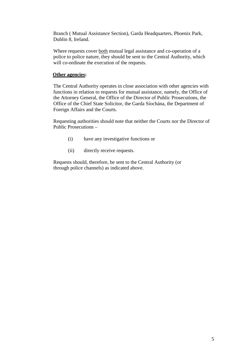Branch ( Mutual Assistance Section), Garda Headquarters, Phoenix Park, Dublin 8, Ireland.

Where requests cover both mutual legal assistance and co-operation of a police to police nature, they should be sent to the Central Authority, which will co-ordinate the execution of the requests.

### **Other agencies:**

The Central Authority operates in close association with other agencies with functions in relation to requests for mutual assistance, namely, the Office of the Attorney General, the Office of the Director of Public Prosecutions, the Office of the Chief State Solicitor, the Garda Síochána, the Department of Foreign Affairs and the Courts.

Requesting authorities should note that neither the Courts nor the Director of Public Prosecutions –

- (i) have any investigative functions or
- (ii) directly receive requests.

Requests should, therefore, be sent to the Central Authority (or through police channels) as indicated above.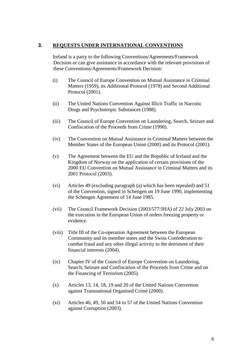# **3. REQUESTS UNDER INTERNATIONAL CONVENTIONS**

 Ireland is a party to the following Conventions/Agreements/Framework Decision or can give assistance in accordance with the relevant provisions of these Conventions/Agreements/Framework Decision:

- (i) The Council of Europe Convention on Mutual Assistance in Criminal Matters (1959), its Additional Protocol (1978) and Second Additional Protocol (2001).
- (ii) The United Nations Convention Against Illicit Traffic in Narcotic Drugs and Psychotropic Substances (1988).
- (iii) The Council of Europe Convention on Laundering, Search, Seizure and Confiscation of the Proceeds from Crime (1990).
- (iv) The Convention on Mutual Assistance in Criminal Matters between the Member States of the European Union (2000) and its Protocol (2001).
- (v) The Agreement between the EU and the Republic of Iceland and the Kingdom of Norway on the application of certain provisions of the 2000 EU Convention on Mutual Assistance in Criminal Matters and its 2001 Protocol (2003).
- (vi) Articles 49 (excluding paragraph (a) which has been repealed) and 51 of the Convention, signed in Schengen on 19 June 1990, implementing the Schengen Agreement of 14 June 1985.
- (vii) The Council Framework Decision (2003/577/JHA) of 22 July 2003 on the execution in the European Union of orders freezing property or evidence.
- (viii) Title III of the Co-operation Agreement between the European Community and its member states and the Swiss Confederation to combat fraud and any other illegal activity to the detriment of their financial interests (2004).
- (ix) Chapter IV of the Council of Europe Convention on Laundering, Search, Seizure and Confiscation of the Proceeds from Crime and on the Financing of Terrorism (2005).
- (x) Articles 13, 14, 18, 19 and 20 of the United Nations Convention against Transnational Organised Crime (2000).
- (xi) Articles 46, 49, 50 and 54 to 57 of the United Nations Convention against Corruption (2003).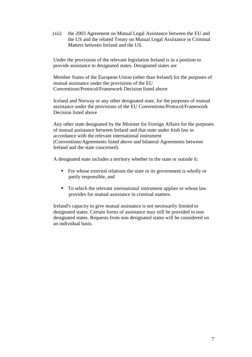(xii) the 2003 Agreement on Mutual Legal Assistance between the EU and the US and the related Treaty on Mutual Legal Assistance in Criminal Matters between Ireland and the US.

Under the provisions of the relevant legislation Ireland is in a position to provide assistance to designated states. Designated states are

Member States of the European Union (other than Ireland) for the purposes of mutual assistance under the provisions of the EU Conventions/Protocol/Framework Decision listed above

Iceland and Norway or any other designated state, for the purposes of mutual assistance under the provisions of the EU Conventions/Protocol/Framework Decision listed above

Any other state designated by the Minister for Foreign Affairs for the purposes of mutual assistance between Ireland and that state under Irish law in accordance with the relevant international instrument (Conventions/Agreements listed above and bilateral Agreements between Ireland and the state concerned).

A designated state includes a territory whether in the state or outside it:

- For whose external relations the state or its government is wholly or partly responsible, and
- To which the relevant international instrument applies or whose law provides for mutual assistance in criminal matters.

Ireland's capacity to give mutual assistance is not necessarily limited to designated states. Certain forms of assistance may still be provided to non designated states. Requests from non designated states will be considered on an individual basis.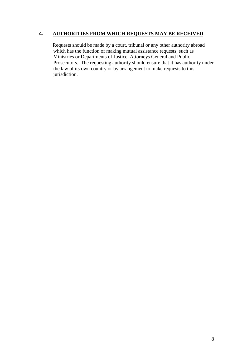# **4. AUTHORITIES FROM WHICH REQUESTS MAY BE RECEIVED**

 Requests should be made by a court, tribunal or any other authority abroad which has the function of making mutual assistance requests, such as Ministries or Departments of Justice, Attorneys General and Public Prosecutors. The requesting authority should ensure that it has authority under the law of its own country or by arrangement to make requests to this jurisdiction.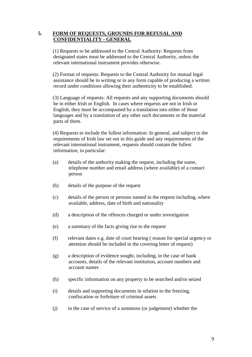# **5. FORM OF REQUESTS, GROUNDS FOR REFUSAL AND CONFIDENTIALITY - GENERAL**

 (1) Requests to be addressed to the Central Authority: Requests from designated states must be addressed to the Central Authority, unless the relevant international instrument provides otherwise.

 (2) Format of requests: Requests to the Central Authority for mutual legal assistance should be in writing or in any form capable of producing a written record under conditions allowing their authenticity to be established.

 (3) Language of requests: All requests and any supporting documents should be in either Irish or English. In cases where requests are not in Irish or English, they must be accompanied by a translation into either of those languages and by a translation of any other such documents or the material parts of them.

 (4) Requests to include the fullest information: In general, and subject to the requirements of Irish law set out in this guide and any requirements of the relevant international instrument, requests should contain the fullest information, in particular:

- (a) details of the authority making the request, including the name, telephone number and email address (where available) of a contact person
- (b) details of the purpose of the request
- (c) details of the person or persons named in the request including, where available, address, date of birth and nationality
- (d) a description of the offences charged or under investigation
- (e) a summary of the facts giving rise to the request
- (f) relevant dates e.g. date of court hearing ( reason for special urgency or attention should be included in the covering letter of request)
- (g) a description of evidence sought, including, in the case of bank accounts, details of the relevant institution, account numbers and account names
- (h) specific information on any property to be searched and/or seized
- (i) details and supporting documents in relation to the freezing, confiscation or forfeiture of criminal assets
- (j) in the case of service of a summons (or judgement) whether the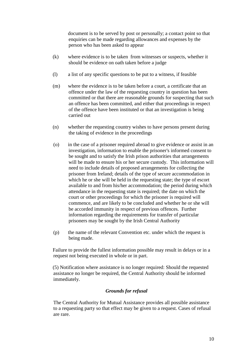document is to be served by post or personally; a contact point so that enquiries can be made regarding allowances and expenses by the person who has been asked to appear

- (k) where evidence is to be taken from witnesses or suspects, whether it should be evidence on oath taken before a judge
- (l) a list of any specific questions to be put to a witness, if feasible
- (m) where the evidence is to be taken before a court, a certificate that an offence under the law of the requesting country in question has been committed or that there are reasonable grounds for suspecting that such an offence has been committed, and either that proceedings in respect of the offence have been instituted or that an investigation is being carried out
- (n) whether the requesting country wishes to have persons present during the taking of evidence in the proceedings
- (o) in the case of a prisoner required abroad to give evidence or assist in an investigation, information to enable the prisoner's informed consent to be sought and to satisfy the Irish prison authorities that arrangements will be made to ensure his or her secure custody. This information will need to include details of proposed arrangements for collecting the prisoner from Ireland; details of the type of secure accommodation in which he or she will be held in the requesting state; the type of escort available to and from his/her accommodation; the period during which attendance in the requesting state is required; the date on which the court or other proceedings for which the prisoner is required will commence, and are likely to be concluded and whether he or she will be accorded immunity in respect of previous offences. Further information regarding the requirements for transfer of particular prisoners may be sought by the Irish Central Authority
- (p) the name of the relevant Convention etc. under which the request is being made.

 Failure to provide the fullest information possible may result in delays or in a request not being executed in whole or in part.

 (5) Notification where assistance is no longer required: Should the requested assistance no longer be required, the Central Authority should be informed immediately.

# *Grounds for refusal*

The Central Authority for Mutual Assistance provides all possible assistance to a requesting party so that effect may be given to a request. Cases of refusal are rare.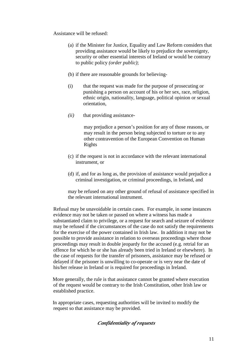Assistance will be refused:

- (a) if the Minister for Justice, Equality and Law Reform considers that providing assistance would be likely to prejudice the sovereignty, security or other essential interests of Ireland or would be contrary to public policy *(order public)*;
- (b) if there are reasonable grounds for believing-
- (i) that the request was made for the purpose of prosecuting or punishing a person on account of his or her sex, race, religion, ethnic origin, nationality, language, political opinion or sexual orientation,
- *(ii)* that providing assistance-

may prejudice a person's position for any of those reasons, or may result in the person being subjected to torture or to any other contravention of the European Convention on Human Rights

- (c) if the request is not in accordance with the relevant international instrument, or
- (d) if, and for as long as, the provision of assistance would prejudice a criminal investigation, or criminal proceedings, in Ireland, and

may be refused on any other ground of refusal of assistance specified in the relevant international instrument.

Refusal may be unavoidable in certain cases. For example, in some instances evidence may not be taken or passed on where a witness has made a substantiated claim to privilege, or a request for search and seizure of evidence may be refused if the circumstances of the case do not satisfy the requirements for the exercise of the power contained in Irish law. In addition it may not be possible to provide assistance in relation to overseas proceedings where those proceedings may result in double jeopardy for the accused (e.g. retrial for an offence for which he or she has already been tried in Ireland or elsewhere). In the case of requests for the transfer of prisoners, assistance may be refused or delayed if the prisoner is unwilling to co-operate or is very near the date of his/her release in Ireland or is required for proceedings in Ireland.

 More generally, the rule is that assistance cannot be granted where execution of the request would be contrary to the Irish Constitution, other Irish law or established practice.

 In appropriate cases, requesting authorities will be invited to modify the request so that assistance may be provided.

# *Confidentiality of requests*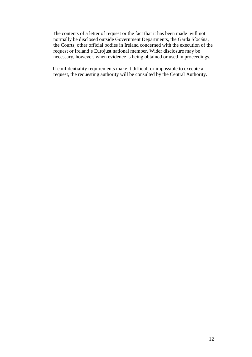The contents of a letter of request or the fact that it has been made will not normally be disclosed outside Government Departments, the Garda Síocána, the Courts, other official bodies in Ireland concerned with the execution of the request or Ireland's Eurojust national member. Wider disclosure may be necessary, however, when evidence is being obtained or used in proceedings.

 If confidentiality requirements make it difficult or impossible to execute a request, the requesting authority will be consulted by the Central Authority.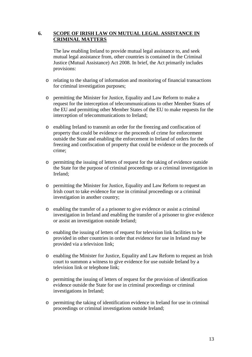# **6. SCOPE OF IRISH LAW ON MUTUAL LEGAL ASSISTANCE IN CRIMINAL MATTERS**

The law enabling Ireland to provide mutual legal assistance to, and seek mutual legal assistance from, other countries is contained in the Criminal Justice (Mutual Assistance) Act 2008. In brief, the Act primarily includes provisions:

- o relating to the sharing of information and monitoring of financial transactions for criminal investigation purposes;
- o permitting the Minister for Justice, Equality and Law Reform to make a request for the interception of telecommunications to other Member States of the EU and permitting other Member States of the EU to make requests for the interception of telecommunications to Ireland;
- o enabling Ireland to transmit an order for the freezing and confiscation of property that could be evidence or the proceeds of crime for enforcement outside the State and enabling the enforcement in Ireland of orders for the freezing and confiscation of property that could be evidence or the proceeds of crime;
- o permitting the issuing of letters of request for the taking of evidence outside the State for the purpose of criminal proceedings or a criminal investigation in Ireland;
- o permitting the Minister for Justice, Equality and Law Reform to request an Irish court to take evidence for use in criminal proceedings or a criminal investigation in another country;
- o enabling the transfer of a a prisoner to give evidence or assist a criminal investigation in Ireland and enabling the transfer of a prisoner to give evidence or assist an investigation outside Ireland;
- o enabling the issuing of letters of request for television link facilities to be provided in other countries in order that evidence for use in Ireland may be provided via a television link;
- o enabling the Minister for Justice, Equality and Law Reform to request an Irish court to summon a witness to give evidence for use outside Ireland by a television link or telephone link;
- o permitting the issuing of letters of request for the provision of identification evidence outside the State for use in criminal proceedings or criminal investigations in Ireland;
- o permitting the taking of identification evidence in Ireland for use in criminal proceedings or criminal investigations outside Ireland;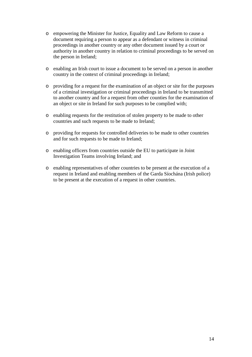- o empowering the Minister for Justice, Equality and Law Reform to cause a document requiring a person to appear as a defendant or witness in criminal proceedings in another country or any other document issued by a court or authority in another country in relation to criminal proceedings to be served on the person in Ireland;
- o enabling an Irish court to issue a document to be served on a person in another country in the context of criminal proceedings in Ireland;
- o providing for a request for the examination of an object or site for the purposes of a criminal investigation or criminal proceedings in Ireland to be transmitted to another country and for a request from other counties for the examination of an object or site in Ireland for such purposes to be complied with;
- o enabling requests for the restitution of stolen property to be made to other countries and such requests to be made to Ireland;
- o providing for requests for controlled deliveries to be made to other countries and for such requests to be made to Ireland;
- o enabling officers from countries outside the EU to participate in Joint Investigation Teams involving Ireland; and
- o enabling representatives of other countries to be present at the execution of a request in Ireland and enabling members of the Garda Síochána (Irish police) to be present at the execution of a request in other countries.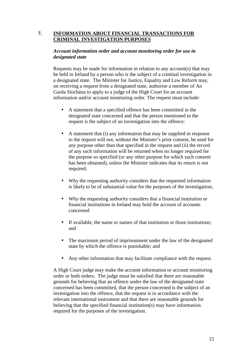# **7. INFORMATION ABOUT FINANCIAL TRANSACTIONS FOR CRIMINAL INVESTIGATION PURPOSES**

# *Account information order and account monitoring order for use in designated state*

Requests may be made for information in relation to any account(s) that may be held in Ireland by a person who is the subject of a criminal investigation in a designated state. The Minister for Justice, Equality and Law Reform may, on receiving a request from a designated state, authorise a member of An Garda Síochána to apply to a judge of the High Court for an account information and/or account monitoring order. The request must include:

- A statement that a specified offence has been committed in the designated state concerned and that the person mentioned in the request is the subject of an investigation into the offence;
- A statement that (i) any information that may be supplied in response to the request will not, without the Minister's prior consent, be used for any purpose other than that specified in the request and (ii) the record of any such information will be returned when no longer required for the purpose so specified (or any other purpose for which such consent has been obtained), unless the Minister indicates that its return is not required;
- Why the requesting authority considers that the requested information is likely to be of substantial value for the purposes of the investigation;
- Why the requesting authority considers that a financial institution or financial institutions in Ireland may hold the account of accounts concerned
- If available, the name or names of that institution or those institutions; and
- The maximum period of imprisonment under the law of the designated state by which the offence is punishable; and
- Any other information that may facilitate compliance with the request.

A High Court judge may make the account information or account monitoring order or both orders. The judge must be satisfied that there are reasonable grounds for believing that an offence under the law of the designated state concerned has been committed, that the person concerned is the subject of an investigation into the offence, that the request is in accordance with the relevant international instrument and that there are reasonable grounds for believing that the specified financial institution(s) may have information required for the purposes of the investigation.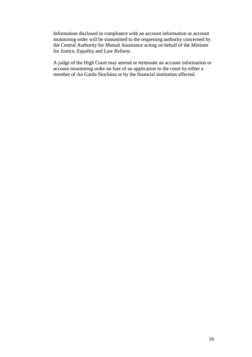Information disclosed in compliance with an account information or account monitoring order will be transmitted to the requesting authority concerned by the Central Authority for Mutual Assistance acting on behalf of the Minister for Justice, Equality and Law Reform.

A judge of the High Court may amend or terminate an account information or account monitoring order on foot of an application to the court by either a member of An Garda Síochána or by the financial institution affected.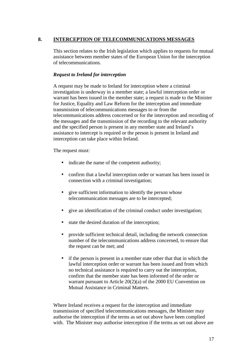# **8. INTERCEPTION OF TELECOMMUNICATIONS MESSAGES**

This section relates to the Irish legislation which applies to requests for mutual assistance between member states of the European Union for the interception of telecommunications.

# *Request to Ireland for interception*

A request may be made to Ireland for interception where a criminal investigation is underway in a member state; a lawful interception order or warrant has been issued in the member state; a request is made to the Minister for Justice, Equality and Law Reform for the interception and immediate transmission of telecommunications messages to or from the telecommunications address concerned or for the interception and recording of the messages and the transmission of the recording to the relevant authority and the specified person is present in any member state and Ireland's assistance to intercept is required or the person is present in Ireland and interception can take place within Ireland.

The request must:

- indicate the name of the competent authority;
- confirm that a lawful interception order or warrant has been issued in connection with a criminal investigation;
- give sufficient information to identify the person whose telecommunication messages are to be intercepted;
- give an identification of the criminal conduct under investigation;
- state the desired duration of the interception;
- provide sufficient technical detail, including the network connection number of the telecommunications address concerned, to ensure that the request can be met; and
- if the person is present in a member state other that that in which the lawful interception order or warrant has been issued and from which no technical assistance is required to carry out the interception, confirm that the member state has been informed of the order or warrant pursuant to Article 20(2)(a) of the 2000 EU Convention on Mutual Assistance in Criminal Matters.

Where Ireland receives a request for the interception and immediate transmission of specified telecommunications messages, the Minister may authorise the interception if the terms as set out above have been complied with. The Minister may authorise interception if the terms as set out above are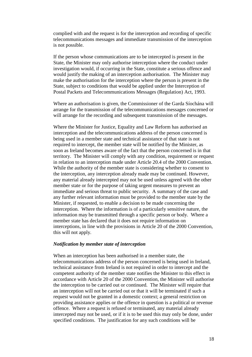complied with and the request is for the interception and recording of specific telecommunications messages and immediate transmission of the interception is not possible.

If the person whose communications are to be intercepted is present in the State, the Minister may only authorise interception where the conduct under investigation would, if occurring in the State, constitute a serious offence and would justify the making of an interception authorisation. The Minister may make the authorisation for the interception where the person is present in the State, subject to conditions that would be applied under the Interception of Postal Packets and Telecommunications Messages (Regulation) Act, 1993.

Where an authorisation is given, the Commissioner of the Garda Síochána will arrange for the transmission of the telecommunications messages concerned or will arrange for the recording and subsequent transmission of the messages.

Where the Minister for Justice, Equality and Law Reform has authorised an interception and the telecommunications address of the person concerned is being used in a member state and technical assistance of that state is not required to intercept, the member state will be notified by the Minister, as soon as Ireland becomes aware of the fact that the person concerned is in that territory. The Minister will comply with any condition, requirement or request in relation to an interception made under Article 20.4 of the 2000 Convention. While the authority of the member state is considering whether to consent to the interception, any interception already made may be continued. However, any material already intercepted may not be used unless agreed with the other member state or for the purpose of taking urgent measures to prevent an immediate and serious threat to public security. A summary of the case and any further relevant information must be provided to the member state by the Minister, if requested, to enable a decision to be made concerning the interception. Where the information is of a particularly sensitive nature, the information may be transmitted through a specific person or body. Where a member state has declared that it does not require information on interceptions, in line with the provisions in Article 20 of the 2000 Convention, this will not apply.

# *Notification by member state of interception*

When an interception has been authorised in a member state, the telecommunications address of the person concerned is being used in Ireland, technical assistance from Ireland is not required in order to intercept and the competent authority of the member state notifies the Minister to this effect in accordance with Article 20 of the 2000 Convention, the Minister will authorise the interception to be carried out or continued. The Minister will require that an interception will not be carried out or that it will be terminated if such a request would not be granted in a domestic context; a general restriction on providing assistance applies or the offence in question is a political or revenue offence. Where a request is refused or terminated, any material already intercepted may not be used, or if it is to be used this may only be done, under specified conditions. The justification for any such conditions will be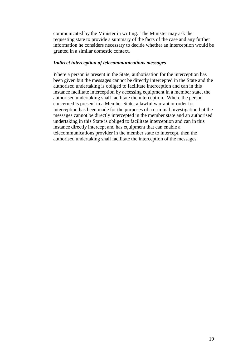communicated by the Minister in writing. The Minister may ask the requesting state to provide a summary of the facts of the case and any further information he considers necessary to decide whether an interception would be granted in a similar domestic context.

## *Indirect interception of telecommunications messages*

*W*here a person is present in the State, authorisation for the interception has been given but the messages cannot be directly intercepted in the State and the authorised undertaking is obliged to facilitate interception and can in this instance facilitate interception by accessing equipment in a member state, the authorised undertaking shall facilitate the interception. Where the person concerned is present in a Member State, a lawful warrant or order for interception has been made for the purposes of a criminal investigation but the messages cannot be directly intercepted in the member state and an authorised undertaking in this State is obliged to facilitate interception and can in this instance directly intercept and has equipment that can enable a telecommunications provider in the member state to intercept, then the authorised undertaking shall facilitate the interception of the messages.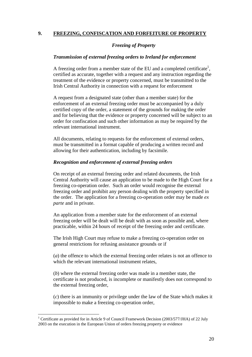# **9. FREEZING, CONFISCATION AND FORFEITURE OF PROPERTY**

# *Freezing of Property*

# *Transmission of external freezing orders to Ireland for enforcement*

A freezing order from a member state of the EU and a completed certificate<sup>1</sup>, certified as accurate, together with a request and any instruction regarding the treatment of the evidence or property concerned, must be transmitted to the Irish Central Authority in connection with a request for enforcement

A request from a designated state (other than a member state) for the enforcement of an external freezing order must be accompanied by a duly certified copy of the order, a statement of the grounds for making the order and for believing that the evidence or property concerned will be subject to an order for confiscation and such other information as may be required by the relevant international instrument.

All documents, relating to requests for the enforcement of external orders, must be transmitted in a format capable of producing a written record and allowing for their authentication, including by facsimile.

# *Recognition and enforcement of external freezing orders*

On receipt of an external freezing order and related documents, the Irish Central Authority will cause an application to be made to the High Court for a freezing co-operation order. Such an order would recognise the external freezing order and prohibit any person dealing with the property specified in the order. The application for a freezing co-operation order may be made *ex parte* and in private.

An application from a member state for the enforcement of an external freezing order will be dealt will be dealt with as soon as possible and, where practicable, within 24 hours of receipt of the freezing order and certificate.

The Irish High Court may refuse to make a freezing co-operation order on general restrictions for refusing assistance grounds or if

(*a*) the offence to which the external freezing order relates is not an offence to which the relevant international instrument relates,

(*b*) where the external freezing order was made in a member state, the certificate is not produced, is incomplete or manifestly does not correspond to the external freezing order,

(*c*) there is an immunity or privilege under the law of the State which makes it impossible to make a freezing co-operation order,

 $\overline{a}$ 

<sup>&</sup>lt;sup>1</sup> Certificate as provided for in Article 9 of Council Framework Decision (2003/577/JHA) of 22 July 2003 on the execution in the European Union of orders freezing property or evidence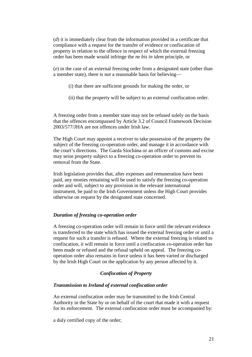(*d*) it is immediately clear from the information provided in a certificate that compliance with a request for the transfer of evidence or confiscation of property in relation to the offence in respect of which the external freezing order has been made would infringe the *ne bis in idem* principle, or

(*e*) in the case of an external freezing order from a designated state (other than a member state), there is not a reasonable basis for believing—

(i) that there are sufficient grounds for making the order, or

(ii) that the property will be subject to an external confiscation order.

A freezing order from a member state may not be refused solely on the basis that the offences encompassed by Article 3.2 of Council Framework Decision 2003/577/JHA are not offences under Irish law.

The High Court may appoint a receiver to take possession of the property the subject of the freezing co-operation order, and manage it in accordance with the court's directions. The Garda Síochána or an officer of customs and excise may seize property subject to a freezing co-operation order to prevent its removal from the State.

Irish legislation provides that, after expenses and remuneration have been paid, any monies remaining will be used to satisfy the freezing co-operation order and will, subject to any provision in the relevant international instrument, be paid to the Irish Government unless the High Court provides otherwise on request by the designated state concerned.

## *Duration of freezing co-operation order*

A freezing co-operation order will remain in force until the relevant evidence is transferred to the state which has issued the external freezing order or until a request for such a transfer is refused. Where the external freezing is related to confiscation, it will remain in force until a confiscation co-operation order has been made or refused and the refusal upheld on appeal. The freezing cooperation order also remains in force unless it has been varied or discharged by the Irish High Court on the application by any person affected by it.

# *Confiscation of Property*

## *Transmission to Ireland of external confiscation order*

An external confiscation order may be transmitted to the Irish Central Authority in the State by or on behalf of the court that made it with a request for its enforcement. The external confiscation order must be accompanied by:

a duly certified copy of the order;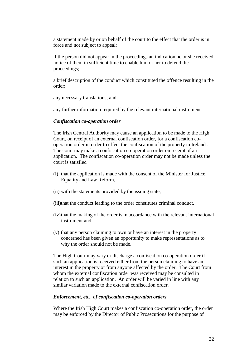a statement made by or on behalf of the court to the effect that the order is in force and not subject to appeal;

if the person did not appear in the proceedings an indication he or she received notice of them in sufficient time to enable him or her to defend the proceedings;

a brief description of the conduct which constituted the offence resulting in the order;

any necessary translations; and

any further information required by the relevant international instrument.

#### *Confiscation co-operation order*

The Irish Central Authority may cause an application to be made to the High Court, on receipt of an external confiscation order, for a confiscation cooperation order in order to effect the confiscation of the property in Ireland . The court may make a confiscation co-operation order on receipt of an application. The confiscation co-operation order may not be made unless the court is satisfied

- (i) that the application is made with the consent of the Minister for Justice, Equality and Law Reform,
- (ii) with the statements provided by the issuing state,
- (iii)that the conduct leading to the order constitutes criminal conduct,
- (iv)that the making of the order is in accordance with the relevant international instrument and
- (v) that any person claiming to own or have an interest in the property concerned has been given an opportunity to make representations as to why the order should not be made.

The High Court may vary or discharge a confiscation co-operation order if such an application is received either from the person claiming to have an interest in the property or from anyone affected by the order. The Court from whom the external confiscation order was received may be consulted in relation to such an application. An order will be varied in line with any similar variation made to the external confiscation order.

#### *Enforcement, etc., of confiscation co-operation orders*

Where the Irish High Court makes a confiscation co-operation order, the order may be enforced by the Director of Public Prosecutions for the purpose of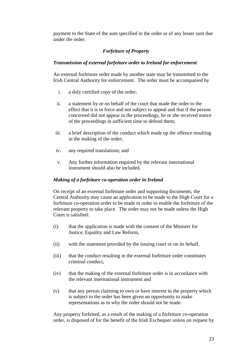payment to the State of the sum specified in the order or of any lesser sum due under the order.

# *Forfeiture of Property*

# *Transmission of external forfeiture order to Ireland for enforcement*

An external forfeiture order made by another state may be transmitted to the Irish Central Authority for enforcement. The order must be accompanied by

- i. a duly certified copy of the order;
- ii. a statement by or on behalf of the court that made the order to the effect that it is in force and not subject to appeal and that if the person concerned did not appear in the proceedings, he or she received notice of the proceedings in sufficient time to defend them;
- iii. a brief description of the conduct which made up the offence resulting in the making of the order;
- iv. any required translations; and
- v. Any further information required by the relevant international instrument should also be included.

# *Making of a forfeiture co-operation order in Ireland*

On receipt of an external forfeiture order and supporting documents, the Central Authority may cause an application to be made to the High Court for a forfeiture co-operation order to be made in order to enable the forfeiture of the relevant property to take place. The order may not be made unless the High Court is satisfied:

- (i) that the application is made with the consent of the Minister for Justice, Equality and Law Reform,
- (ii) with the statement provided by the issuing court or on its behalf,
- (iii) that the conduct resulting in the external forfeiture order constitutes criminal conduct,
- (iv) that the making of the external forfeiture order is in accordance with the relevant international instrument and
- (v) that any person claiming to own or have interest in the property which is subject to the order has been given an opportunity to make representations as to why the order should not be made.

Any property forfeited, as a result of the making of a forfeiture co-operation order, is disposed of for the benefit of the Irish Exchequer unless on request by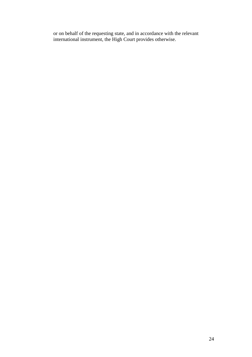or on behalf of the requesting state, and in accordance with the relevant international instrument, the High Court provides otherwise.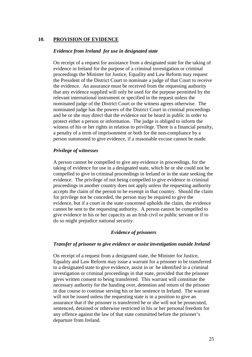# **10. PROVISION OF EVIDENCE**

#### *Evidence from Ireland for use in designated state*

On receipt of a request for assistance from a designated state for the taking of evidence in Ireland for the purpose of a criminal investigation or criminal proceedings the Minister for Justice, Equality and Law Reform may request the President of the District Court to nominate a judge of that Court to receive the evidence. An assurance must be received from the requesting authority that any evidence supplied will only be used for the purpose permitted by the relevant international instrument or specified in the request unless the nominated judge of the District Court or the witness agrees otherwise. The nominated judge has the powers of the District Court in criminal proceedings and he or she may direct that the evidence not be heard in public in order to protect either a person or information. The judge is obliged to inform the witness of his or her rights in relation to privilege. There is a financial penalty, a penalty of a term of imprisonment or both for the non-compliance by a person summoned to give evidence, if a reasonable excuse cannot be made.

## *Privilege of witnesses*

A person cannot be compelled to give any evidence in proceedings, for the taking of evidence for use in a designated state, which he or she could not be compelled to give in criminal proceedings in Ireland or in the state seeking the evidence. The privilege of not being compelled to give evidence in criminal proceedings in another country does not apply unless the requesting authority accepts the claim of the person to be exempt in that country. Should the claim for privilege not be conceded, the person may be required to give the evidence, but if a court in the state concerned upholds the claim, the evidence cannot be sent to the requesting authority. A person cannot be compelled to give evidence in his or her capacity as an Irish civil or public servant or if to do so might prejudice national security.

## *Evidence of prisoners*

#### *Transfer of prisoner to give evidence or assist investigation outside Ireland*

On receipt of a request from a designated state, the Minister for Justice, Equality and Law Reform may issue a warrant for a prisoner to be transferred to a designated state to give evidence, assist in or be identified in a criminal investigation or criminal proceedings in that state, provided that the prisoner gives written consent to being transferred. This warrant will constitute the necessary authority for the handing over, detention and return of the prisoner in due course to continue serving his or her sentence in Ireland. The warrant will not be issued unless the requesting state is in a position to give an assurance that if the prisoner is transferred he or she will not be prosecuted, sentenced, detained or otherwise restricted in his or her personal freedom for any offence against the law of that state committed before the prisoner's departure from Ireland.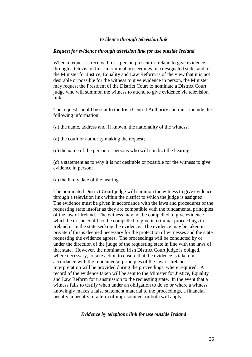## *Evidence through television link*

### *Request for evidence through television link for use outside Ireland*

When a request is received for a person present in Ireland to give evidence through a television link in criminal proceedings in a designated state, and, if the Minister for Justice, Equality and Law Reform is of the view that it is not desirable or possible for the witness to give evidence in person, the Minister may request the President of the District Court to nominate a District Court judge who will summon the witness to attend to give evidence via television link.

The request should be sent to the Irish Central Authority and must include the following information:

- (*a*) the name, address and, if known, the nationality of the witness;
- (*b*) the court or authority making the request;
- (*c*) the name of the person or persons who will conduct the hearing;

(*d*) a statement as to why it is not desirable or possible for the witness to give evidence in person;

(*e*) the likely date of the hearing.

.

The nominated District Court judge will summon the witness to give evidence through a television link within the district to which the judge is assigned. The evidence must be given in accordance with the laws and procedures of the requesting state insofar as they are compatible with the fundamental principles of the law of Ireland. The witness may not be compelled to give evidence which he or she could not be compelled to give in criminal proceedings in Ireland or in the state seeking the evidence. The evidence may be taken in private if this is deemed necessary for the protection of witnesses and the state requesting the evidence agrees. The proceedings will be conducted by or under the direction of the judge of the requesting state in line with the laws of that state. However, the nominated Irish District Court judge is obliged, where necessary, to take action to ensure that the evidence is taken in accordance with the fundamental principles of the law of Ireland. Interpretation will be provided during the proceedings, where required. A record of the evidence taken will be sent to the Minister for Justice, Equality and Law Reform for transmission to the requesting state. In the event that a witness fails to testify when under an obligation to do so or where a witness knowingly makes a false statement material to the proceedings, a financial penalty, a penalty of a term of imprisonment or both will apply.

## *Evidence by telephone link for use outside Ireland*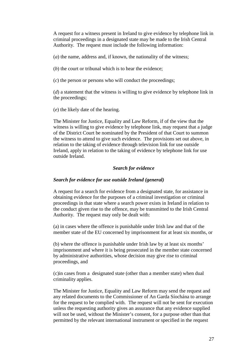A request for a witness present in Ireland to give evidence by telephone link in criminal proceedings in a designated state may be made to the Irish Central Authority. The request must include the following information:

(*a*) the name, address and, if known, the nationality of the witness;

(*b*) the court or tribunal which is to hear the evidence;

(*c*) the person or persons who will conduct the proceedings;

(*d*) a statement that the witness is willing to give evidence by telephone link in the proceedings;

(*e*) the likely date of the hearing.

The Minister for Justice, Equality and Law Reform, if of the view that the witness is willing to give evidence by telephone link, may request that a judge of the District Court be nominated by the President of that Court to summon the witness to attend to give such evidence. The provisions set out above, in relation to the taking of evidence through television link for use outside Ireland, apply in relation to the taking of evidence by telephone link for use outside Ireland.

# *Search for evidence*

# *Search for evidence for use outside Ireland (general)*

A request for a search for evidence from a designated state, for assistance in obtaining evidence for the purposes of a criminal investigation or criminal proceedings in that state where a search power exists in Ireland in relation to the conduct given rise to the offence, may be transmitted to the Irish Central Authority. The request may only be dealt with:

(a) in cases where the offence is punishable under Irish law and that of the member state of the EU concerned by imprisonment for at least six months, or

(b) where the offence is punishable under Irish law by at least six months' imprisonment and where it is being prosecuted in the member state concerned by administrative authorities, whose decision may give rise to criminal proceedings, and

(c)in cases from a designated state (other than a member state) when dual criminality applies.

The Minister for Justice, Equality and Law Reform may send the request and any related documents to the Commissioner of An Garda Síochána to arrange for the request to be complied with. The request will not be sent for execution unless the requesting authority gives an assurance that any evidence supplied will not be used, without the Minister's consent, for a purpose other than that permitted by the relevant international instrument or specified in the request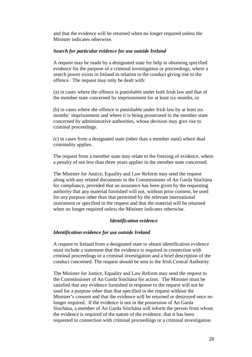and that the evidence will be returned when no longer required unless the Minister indicates otherwise.

## *Search for particular evidence for use outside Ireland*

A request may be made by a designated state for help in obtaining specified evidence for the purpose of a criminal investigation or proceedings, where a search power exists in Ireland in relation to the conduct giving rise to the offence. The request may only be dealt with:

(a) in cases where the offence is punishable under both Irish law and that of the member state concerned by imprisonment for at least six months, or

(b) in cases where the offence is punishable under Irish law by at least six months' imprisonment and where it is being prosecuted in the member state concerned by administrative authorities, whose decision may give rise to criminal proceedings.

(c) in cases from a designated state (other than a member state) where dual criminality applies.

The request from a member state may relate to the freezing of evidence, where a penalty of not less than three years applies in the member state concerned.

The Minister for Justice, Equality and Law Reform may send the request along with any related documents to the Commissioner of An Garda Síochána for compliance, provided that an assurance has been given by the requesting authority that any material furnished will not, without prior consent, be used for any purpose other than that permitted by the relevant international instrument or specified in the request and that the material will be returned when no longer required unless the Minister indicates otherwise.

# *Identification evidence*

## *Identification evidence for use outside Ireland*

A request to Ireland from a designated state to obtain identification evidence must include a statement that the evidence is required in connection with criminal proceedings or a criminal investigation and a brief description of the conduct concerned. The request should be sent to the Irish Central Authority.

The Minister for Justice, Equality and Law Reform may send the request to the Commissioner of An Garda Síochána for action. The Minister must be satisfied that any evidence furnished in response to the request will not be used for a purpose other than that specified in the request without the Minister's consent and that the evidence will be returned or destroyed once no longer required. If the evidence is not in the possession of An Garda Síochána, a member of An Garda Síochána will inform the person from whom the evidence is required of the nature of the evidence, that it has been requested in connection with criminal proceedings or a criminal investigation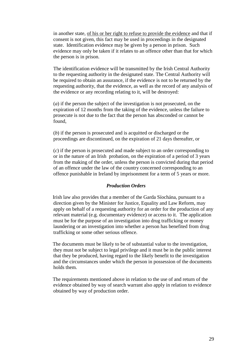in another state, of his or her right to refuse to provide the evidence and that if consent is not given, this fact may be used in proceedings in the designated state. Identification evidence may be given by a person in prison. Such evidence may only be taken if it relates to an offence other than that for which the person is in prison.

The identification evidence will be transmitted by the Irish Central Authority to the requesting authority in the designated state. The Central Authority will be required to obtain an assurance, if the evidence is not to be returned by the requesting authority, that the evidence, as well as the record of any analysis of the evidence or any recording relating to it, will be destroyed:

(*a*) if the person the subject of the investigation is not prosecuted, on the expiration of 12 months from the taking of the evidence, unless the failure to prosecute is not due to the fact that the person has absconded or cannot be found,

(*b*) if the person is prosecuted and is acquitted or discharged or the proceedings are discontinued, on the expiration of 21 days thereafter, or

(*c*) if the person is prosecuted and made subject to an order corresponding to or in the nature of an Irish probation, on the expiration of a period of 3 years from the making of the order, unless the person is convicted during that period of an offence under the law of the country concerned corresponding to an offence punishable in Ireland by imprisonment for a term of 5 years or more.

## *Production Orders*

 Irish law also provides that a member of the Garda Síochána, pursuant to a direction given by the Minister for Justice, Equality and Law Reform, may apply on behalf of a requesting authority for an order for the production of any relevant material (e.g. documentary evidence) or access to it. The application must be for the purpose of an investigation into drug trafficking or money laundering or an investigation into whether a person has benefited from drug trafficking or some other serious offence.

 The documents must be likely to be of substantial value to the investigation, they must not be subject to legal privilege and it must be in the public interest that they be produced, having regard to the likely benefit to the investigation and the circumstances under which the person in possession of the documents holds them.

 The requirements mentioned above in relation to the use of and return of the evidence obtained by way of search warrant also apply in relation to evidence obtained by way of production order.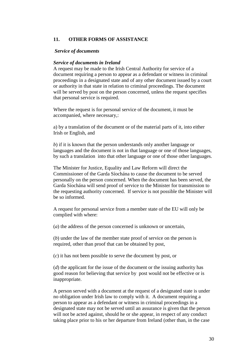## **11. OTHER FORMS OF ASSISTANCE**

#### *Service of documents*

#### *Service of documents in Ireland*

A request may be made to the Irish Central Authority for service of a document requiring a person to appear as a defendant or witness in criminal proceedings in a designated state and of any other document issued by a court or authority in that state in relation to criminal proceedings. The document will be served by post on the person concerned, unless the request specifies that personal service is required.

Where the request is for personal service of the document, it must be accompanied, where necessary,:

a) by a translation of the document or of the material parts of it, into either Irish or English, and

*b*) if it is known that the person understands only another language or languages and the document is not in that language or one of those languages, by such a translation into that other language or one of those other languages.

The Minister for Justice, Equality and Law Reform will direct the Commissioner of the Garda Síochána to cause the document to be served personally on the person concerned. When the document has been served, the Garda Síochána will send proof of service to the Minister for transmission to the requesting authority concerned. If service is not possible the Minister will be so informed.

A request for personal service from a member state of the EU will only be complied with where:

(*a*) the address of the person concerned is unknown or uncertain,

(*b*) under the law of the member state proof of service on the person is required, other than proof that can be obtained by post,

(*c*) it has not been possible to serve the document by post, or

(*d*) the applicant for the issue of the document or the issuing authority has good reason for believing that service by post would not be effective or is inappropriate.

A person served with a document at the request of a designated state is under no obligation under Irish law to comply with it. A document requiring a person to appear as a defendant or witness in criminal proceedings in a designated state may not be served until an assurance is given that the person will not be acted against, should he or she appear, in respect of any conduct taking place prior to his or her departure from Ireland (other than, in the case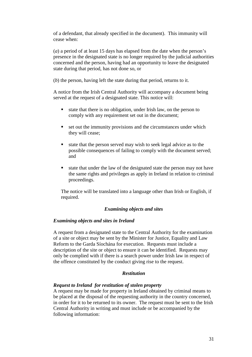of a defendant, that already specified in the document). This immunity will cease when:

(*a*) a period of at least 15 days has elapsed from the date when the person's presence in the designated state is no longer required by the judicial authorities concerned and the person, having had an opportunity to leave the designated state during that period, has not done so, or

(*b*) the person, having left the state during that period, returns to it.

A notice from the Irish Central Authority will accompany a document being served at the request of a designated state. This notice will:

- $\blacksquare$  state that there is no obligation, under Irish law, on the person to comply with any requirement set out in the document;
- set out the immunity provisions and the circumstances under which they will cease;
- state that the person served may wish to seek legal advice as to the possible consequences of failing to comply with the document served; and
- state that under the law of the designated state the person may not have the same rights and privileges as apply in Ireland in relation to criminal proceedings.

The notice will be translated into a language other than Irish or English, if required.

## *Examining objects and sites*

## *Examining objects and sites in Ireland*

A request from a designated state to the Central Authority for the examination of a site or object may be sent by the Minister for Justice, Equality and Law Reform to the Garda Síochána for execution. Requests must include a description of the site or object to ensure it can be identified. Requests may only be complied with if there is a search power under Irish law in respect of the offence constituted by the conduct giving rise to the request.

#### *Restitution*

# *Request to Ireland for restitution of stolen property*

A request may be made for property in Ireland obtained by criminal means to be placed at the disposal of the requesting authority in the country concerned, in order for it to be returned to its owner. The request must be sent to the Irish Central Authority in writing and must include or be accompanied by the following information: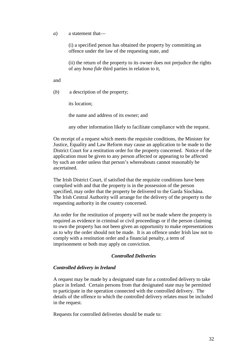*a*) a statement that—

(i) a specified person has obtained the property by committing an offence under the law of the requesting state, and

(ii) the return of the property to its owner does not prejudice the rights of any *bona fide* third parties in relation to it,

and

(*b*) a description of the property;

its location;

the name and address of its owner; and

any other information likely to facilitate compliance with the request.

On receipt of a request which meets the requisite conditions, the Minister for Justice, Equality and Law Reform may cause an application to be made to the District Court for a restitution order for the property concerned. Notice of the application must be given to any person affected or appearing to be affected by such an order unless that person's whereabouts cannot reasonably be ascertained.

The Irish District Court, if satisfied that the requisite conditions have been complied with and that the property is in the possession of the person specified, may order that the property be delivered to the Garda Síochána. The Irish Central Authority will arrange for the delivery of the property to the requesting authority in the country concerned.

An order for the restitution of property will not be made where the property is required as evidence in criminal or civil proceedings or if the person claiming to own the property has not been given an opportunity to make representations as to why the order should not be made. It is an offence under Irish law not to comply with a restitution order and a financial penalty, a term of imprisonment or both may apply on conviction.

#### *Controlled Deliveries*

#### *Controlled delivery in Ireland*

A request may be made by a designated state for a controlled delivery to take place in Ireland. Certain persons from that designated state may be permitted to participate in the operation connected with the controlled delivery. The details of the offence to which the controlled delivery relates must be included in the request.

Requests for controlled deliveries should be made to: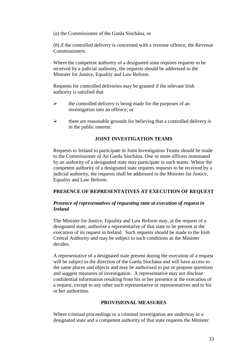(*a*) the Commissioner of the Garda Síochána, or

(*b*) if the controlled delivery is concerned with a revenue offence, the Revenue Commissioners.

Where the competent authority of a designated state requires requests to be received by a judicial authority, the requests should be addressed to the Minister for Justice, Equality and Law Reform.

Requests for controlled deliveries may be granted if the relevant Irish authority is satisfied that

- $\blacktriangleright$  the controlled delivery is being made for the purposes of an investigation into an offence; or
- $\blacktriangleright$  there are reasonable grounds for believing that a controlled delivery is in the public interest.

# **JOINT INVESTIGATION TEAMS**

Requests to Ireland to participate in Joint Investigation Teams should be made to the Commissioner of An Garda Síochána. One or more officers nominated by an authority of a designated state may participate in such teams. Where the competent authority of a designated state requires requests to be received by a judicial authority, the requests shall be addressed to the Minister for Justice, Equality and Law Reform.

# **PRESENCE OF REPRESENTATIVES AT EXECUTION OF REQUEST**

## *Presence of representatives of requesting state at execution of request in Ireland*

The Minister for Justice, Equality and Law Reform may, at the request of a designated state, authorise a representative of that state to be present at the execution of its request in Ireland. Such requests should be made to the Irish Central Authority and may be subject to such conditions as the Minister decides.

A representative of a designated state present during the execution of a request will be subject to the direction of the Garda Síochána and will have access to the same places and objects and may be authorised to put or propose questions and suggest measures of investigation. A representative may not disclose confidential information resulting from his or her presence at the execution of a request, except to any other such representative or representatives and to his or her authorities.

## **PROVISIONAL MEASURES**

Where criminal proceedings or a criminal investigation are underway in a designated state and a competent authority of that state requests the Minister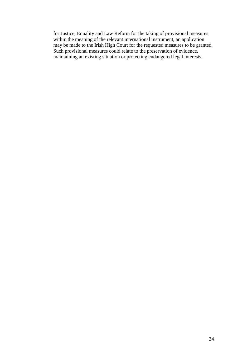for Justice, Equality and Law Reform for the taking of provisional measures within the meaning of the relevant international instrument, an application may be made to the Irish High Court for the requested measures to be granted. Such provisional measures could relate to the preservation of evidence, maintaining an existing situation or protecting endangered legal interests.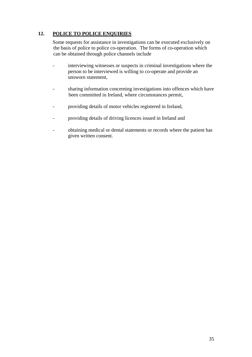# **12. POLICE TO POLICE ENQUIRIES**

 Some requests for assistance in investigations can be executed exclusively on the basis of police to police co-operation. The forms of co-operation which can be obtained through police channels include

- interviewing witnesses or suspects in criminal investigations where the person to be interviewed is willing to co-operate and provide an unsworn statement,
- sharing information concerning investigations into offences which have been committed in Ireland, where circumstances permit,
- providing details of motor vehicles registered in Ireland,
- providing details of driving licences issued in Ireland and
- obtaining medical or dental statements or records where the patient has given written consent.